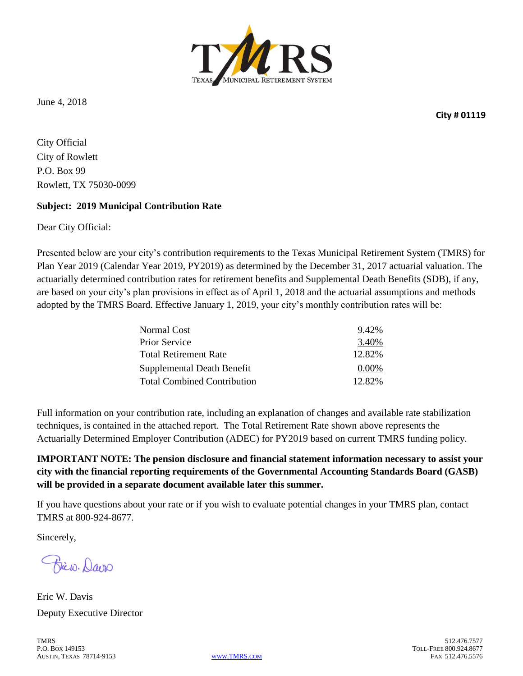

June 4, 2018

**City # 01119**

City Official City of Rowlett P.O. Box 99 Rowlett, TX 75030-0099

#### **Subject: 2019 Municipal Contribution Rate**

Dear City Official:

Presented below are your city's contribution requirements to the Texas Municipal Retirement System (TMRS) for Plan Year 2019 (Calendar Year 2019, PY2019) as determined by the December 31, 2017 actuarial valuation. The actuarially determined contribution rates for retirement benefits and Supplemental Death Benefits (SDB), if any, are based on your city's plan provisions in effect as of April 1, 2018 and the actuarial assumptions and methods adopted by the TMRS Board. Effective January 1, 2019, your city's monthly contribution rates will be:

| Normal Cost                        | 9.42%    |
|------------------------------------|----------|
| <b>Prior Service</b>               | 3.40%    |
| <b>Total Retirement Rate</b>       | 12.82%   |
| Supplemental Death Benefit         | $0.00\%$ |
| <b>Total Combined Contribution</b> | 12.82%   |

Full information on your contribution rate, including an explanation of changes and available rate stabilization techniques, is contained in the attached report. The Total Retirement Rate shown above represents the Actuarially Determined Employer Contribution (ADEC) for PY2019 based on current TMRS funding policy.

**IMPORTANT NOTE: The pension disclosure and financial statement information necessary to assist your city with the financial reporting requirements of the Governmental Accounting Standards Board (GASB) will be provided in a separate document available later this summer.**

If you have questions about your rate or if you wish to evaluate potential changes in your TMRS plan, contact TMRS at 800-924-8677.

Sincerely,

Biew. Davis

Eric W. Davis Deputy Executive Director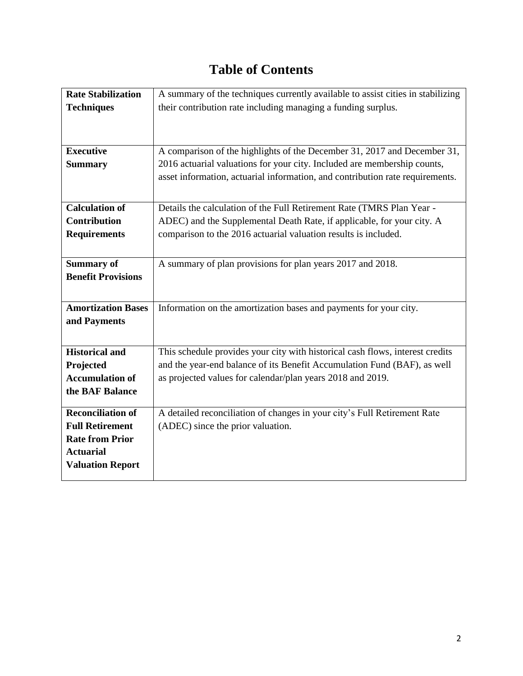## **Table of Contents**

| <b>Rate Stabilization</b> | A summary of the techniques currently available to assist cities in stabilizing |
|---------------------------|---------------------------------------------------------------------------------|
| <b>Techniques</b>         | their contribution rate including managing a funding surplus.                   |
|                           |                                                                                 |
|                           |                                                                                 |
| <b>Executive</b>          | A comparison of the highlights of the December 31, 2017 and December 31,        |
| <b>Summary</b>            | 2016 actuarial valuations for your city. Included are membership counts,        |
|                           | asset information, actuarial information, and contribution rate requirements.   |
|                           |                                                                                 |
| <b>Calculation of</b>     | Details the calculation of the Full Retirement Rate (TMRS Plan Year -           |
| <b>Contribution</b>       | ADEC) and the Supplemental Death Rate, if applicable, for your city. A          |
| <b>Requirements</b>       | comparison to the 2016 actuarial valuation results is included.                 |
|                           |                                                                                 |
| <b>Summary of</b>         | A summary of plan provisions for plan years 2017 and 2018.                      |
| <b>Benefit Provisions</b> |                                                                                 |
|                           |                                                                                 |
| <b>Amortization Bases</b> | Information on the amortization bases and payments for your city.               |
| and Payments              |                                                                                 |
|                           |                                                                                 |
| <b>Historical and</b>     | This schedule provides your city with historical cash flows, interest credits   |
| Projected                 | and the year-end balance of its Benefit Accumulation Fund (BAF), as well        |
| <b>Accumulation of</b>    | as projected values for calendar/plan years 2018 and 2019.                      |
| the BAF Balance           |                                                                                 |
| <b>Reconciliation of</b>  | A detailed reconciliation of changes in your city's Full Retirement Rate        |
| <b>Full Retirement</b>    | (ADEC) since the prior valuation.                                               |
| <b>Rate from Prior</b>    |                                                                                 |
| <b>Actuarial</b>          |                                                                                 |
| <b>Valuation Report</b>   |                                                                                 |
|                           |                                                                                 |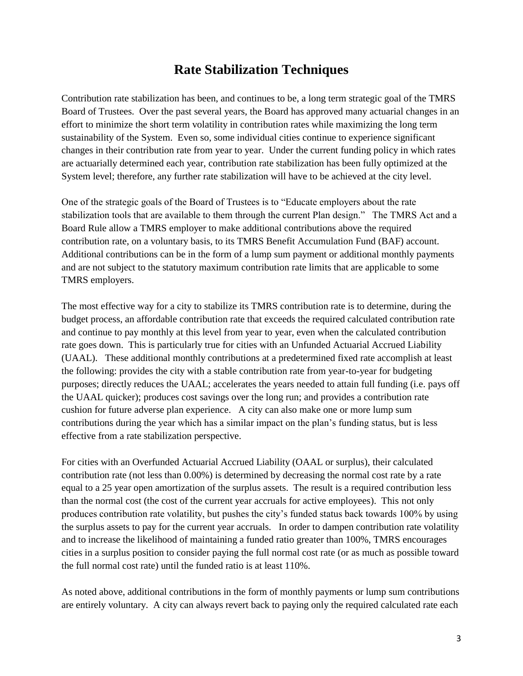#### **Rate Stabilization Techniques**

Contribution rate stabilization has been, and continues to be, a long term strategic goal of the TMRS Board of Trustees. Over the past several years, the Board has approved many actuarial changes in an effort to minimize the short term volatility in contribution rates while maximizing the long term sustainability of the System. Even so, some individual cities continue to experience significant changes in their contribution rate from year to year. Under the current funding policy in which rates are actuarially determined each year, contribution rate stabilization has been fully optimized at the System level; therefore, any further rate stabilization will have to be achieved at the city level.

One of the strategic goals of the Board of Trustees is to "Educate employers about the rate stabilization tools that are available to them through the current Plan design." The TMRS Act and a Board Rule allow a TMRS employer to make additional contributions above the required contribution rate, on a voluntary basis, to its TMRS Benefit Accumulation Fund (BAF) account. Additional contributions can be in the form of a lump sum payment or additional monthly payments and are not subject to the statutory maximum contribution rate limits that are applicable to some TMRS employers.

The most effective way for a city to stabilize its TMRS contribution rate is to determine, during the budget process, an affordable contribution rate that exceeds the required calculated contribution rate and continue to pay monthly at this level from year to year, even when the calculated contribution rate goes down. This is particularly true for cities with an Unfunded Actuarial Accrued Liability (UAAL). These additional monthly contributions at a predetermined fixed rate accomplish at least the following: provides the city with a stable contribution rate from year-to-year for budgeting purposes; directly reduces the UAAL; accelerates the years needed to attain full funding (i.e. pays off the UAAL quicker); produces cost savings over the long run; and provides a contribution rate cushion for future adverse plan experience. A city can also make one or more lump sum contributions during the year which has a similar impact on the plan's funding status, but is less effective from a rate stabilization perspective.

For cities with an Overfunded Actuarial Accrued Liability (OAAL or surplus), their calculated contribution rate (not less than 0.00%) is determined by decreasing the normal cost rate by a rate equal to a 25 year open amortization of the surplus assets. The result is a required contribution less than the normal cost (the cost of the current year accruals for active employees). This not only produces contribution rate volatility, but pushes the city's funded status back towards 100% by using the surplus assets to pay for the current year accruals. In order to dampen contribution rate volatility and to increase the likelihood of maintaining a funded ratio greater than 100%, TMRS encourages cities in a surplus position to consider paying the full normal cost rate (or as much as possible toward the full normal cost rate) until the funded ratio is at least 110%.

As noted above, additional contributions in the form of monthly payments or lump sum contributions are entirely voluntary. A city can always revert back to paying only the required calculated rate each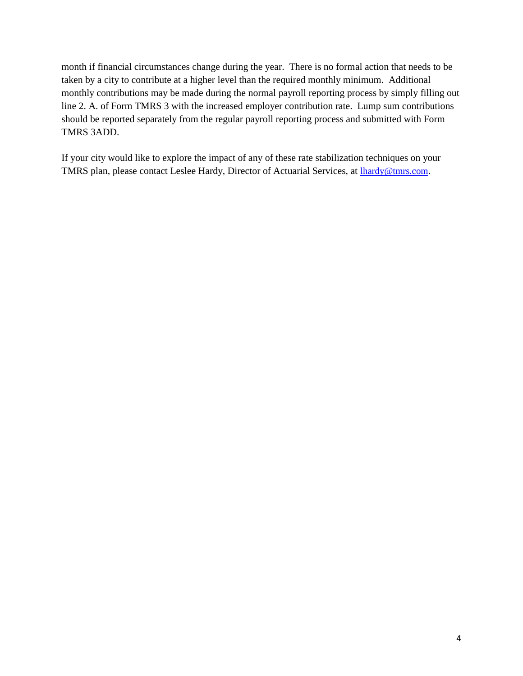month if financial circumstances change during the year. There is no formal action that needs to be taken by a city to contribute at a higher level than the required monthly minimum. Additional monthly contributions may be made during the normal payroll reporting process by simply filling out line 2. A. of Form TMRS 3 with the increased employer contribution rate. Lump sum contributions should be reported separately from the regular payroll reporting process and submitted with Form TMRS 3ADD.

If your city would like to explore the impact of any of these rate stabilization techniques on your TMRS plan, please contact Leslee Hardy, Director of Actuarial Services, at [lhardy@tmrs.com](mailto:lhardy@tmrs.com).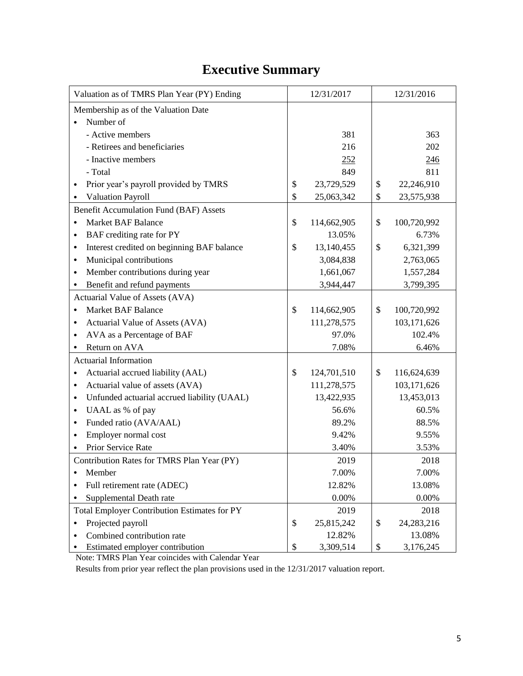## **Executive Summary**

| Valuation as of TMRS Plan Year (PY) Ending               | 12/31/2017        | 12/31/2016        |
|----------------------------------------------------------|-------------------|-------------------|
| Membership as of the Valuation Date                      |                   |                   |
| Number of                                                |                   |                   |
| - Active members                                         | 381               | 363               |
| - Retirees and beneficiaries                             | 216               | 202               |
| - Inactive members                                       | 252               | 246               |
| - Total                                                  | 849               | 811               |
| Prior year's payroll provided by TMRS<br>$\bullet$       | \$<br>23,729,529  | \$<br>22,246,910  |
| <b>Valuation Payroll</b>                                 | \$<br>25,063,342  | \$<br>23,575,938  |
| Benefit Accumulation Fund (BAF) Assets                   |                   |                   |
| <b>Market BAF Balance</b><br>$\bullet$                   | \$<br>114,662,905 | \$<br>100,720,992 |
| BAF crediting rate for PY<br>$\bullet$                   | 13.05%            | 6.73%             |
| Interest credited on beginning BAF balance<br>$\bullet$  | \$<br>13,140,455  | \$<br>6,321,399   |
| Municipal contributions<br>$\bullet$                     | 3,084,838         | 2,763,065         |
| Member contributions during year<br>$\bullet$            | 1,661,067         | 1,557,284         |
| Benefit and refund payments                              | 3,944,447         | 3,799,395         |
| Actuarial Value of Assets (AVA)                          |                   |                   |
| <b>Market BAF Balance</b><br>٠                           | \$<br>114,662,905 | \$<br>100,720,992 |
| Actuarial Value of Assets (AVA)<br>٠                     | 111,278,575       | 103,171,626       |
| AVA as a Percentage of BAF<br>$\bullet$                  | 97.0%             | 102.4%            |
| Return on AVA                                            | 7.08%             | 6.46%             |
| <b>Actuarial Information</b>                             |                   |                   |
| Actuarial accrued liability (AAL)<br>$\bullet$           | \$<br>124,701,510 | \$<br>116,624,639 |
| Actuarial value of assets (AVA)<br>$\bullet$             | 111,278,575       | 103,171,626       |
| Unfunded actuarial accrued liability (UAAL)<br>$\bullet$ | 13,422,935        | 13,453,013        |
| UAAL as % of pay<br>$\bullet$                            | 56.6%             | 60.5%             |
| Funded ratio (AVA/AAL)<br>$\bullet$                      | 89.2%             | 88.5%             |
| Employer normal cost<br>$\bullet$                        | 9.42%             | 9.55%             |
| Prior Service Rate                                       | 3.40%             | 3.53%             |
| Contribution Rates for TMRS Plan Year (PY)               | 2019              | 2018              |
| Member<br>٠                                              | 7.00%             | 7.00%             |
| Full retirement rate (ADEC)                              | 12.82%            | 13.08%            |
| Supplemental Death rate                                  | 0.00%             | 0.00%             |
| <b>Total Employer Contribution Estimates for PY</b>      | 2019              | 2018              |
| Projected payroll<br>$\bullet$                           | \$<br>25,815,242  | \$<br>24,283,216  |
| Combined contribution rate                               | 12.82%            | 13.08%            |
| Estimated employer contribution                          | \$<br>3,309,514   | \$<br>3,176,245   |

Note: TMRS Plan Year coincides with Calendar Year

Results from prior year reflect the plan provisions used in the 12/31/2017 valuation report.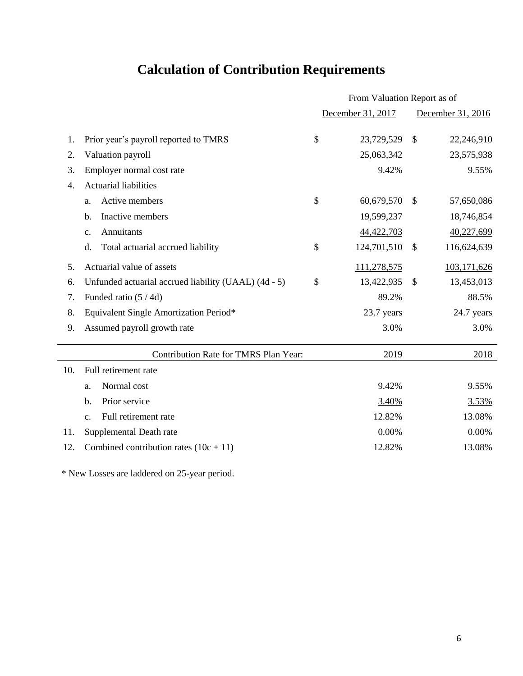# **Calculation of Contribution Requirements**

|                  |                                                      | From Valuation Report as of |                   |                           |             |  |  |  |
|------------------|------------------------------------------------------|-----------------------------|-------------------|---------------------------|-------------|--|--|--|
|                  |                                                      |                             | December 31, 2017 | December 31, 2016         |             |  |  |  |
| 1.               | Prior year's payroll reported to TMRS                | \$                          | 23,729,529        | \$                        | 22,246,910  |  |  |  |
| 2.               | Valuation payroll                                    |                             | 25,063,342        |                           | 23,575,938  |  |  |  |
| 3.               | Employer normal cost rate                            |                             | 9.42%             |                           | 9.55%       |  |  |  |
| $\overline{4}$ . | <b>Actuarial liabilities</b>                         |                             |                   |                           |             |  |  |  |
|                  | Active members<br>a.                                 | \$                          | 60,679,570        | $\mathcal{S}$             | 57,650,086  |  |  |  |
|                  | Inactive members<br>b.                               |                             | 19,599,237        |                           | 18,746,854  |  |  |  |
|                  | Annuitants<br>$\mathbf{c}$ .                         |                             | 44,422,703        |                           | 40,227,699  |  |  |  |
|                  | Total actuarial accrued liability<br>d.              | \$                          | 124,701,510       | $\boldsymbol{\mathsf{S}}$ | 116,624,639 |  |  |  |
| 5.               | Actuarial value of assets                            |                             | 111,278,575       |                           | 103,171,626 |  |  |  |
| 6.               | Unfunded actuarial accrued liability (UAAL) (4d - 5) | \$                          | 13,422,935        | $\mathcal{S}$             | 13,453,013  |  |  |  |
| 7.               | Funded ratio (5/4d)                                  |                             | 89.2%             |                           | 88.5%       |  |  |  |
| 8.               | Equivalent Single Amortization Period*               |                             | 23.7 years        |                           | 24.7 years  |  |  |  |
| 9.               | Assumed payroll growth rate                          |                             | 3.0%              |                           | 3.0%        |  |  |  |
|                  | Contribution Rate for TMRS Plan Year:                |                             | 2019              |                           | 2018        |  |  |  |
| 10.              | Full retirement rate                                 |                             |                   |                           |             |  |  |  |
|                  | Normal cost<br>a.                                    |                             | 9.42%             |                           | 9.55%       |  |  |  |
|                  | Prior service<br>b.                                  |                             | 3.40%             |                           | 3.53%       |  |  |  |
|                  | Full retirement rate<br>C <sub>1</sub>               |                             | 12.82%            |                           | 13.08%      |  |  |  |
| 11.              | Supplemental Death rate                              |                             | 0.00%             |                           | 0.00%       |  |  |  |
| 12.              | Combined contribution rates $(10c + 11)$             |                             | 12.82%            |                           | 13.08%      |  |  |  |
|                  |                                                      |                             |                   |                           |             |  |  |  |

\* New Losses are laddered on 25-year period.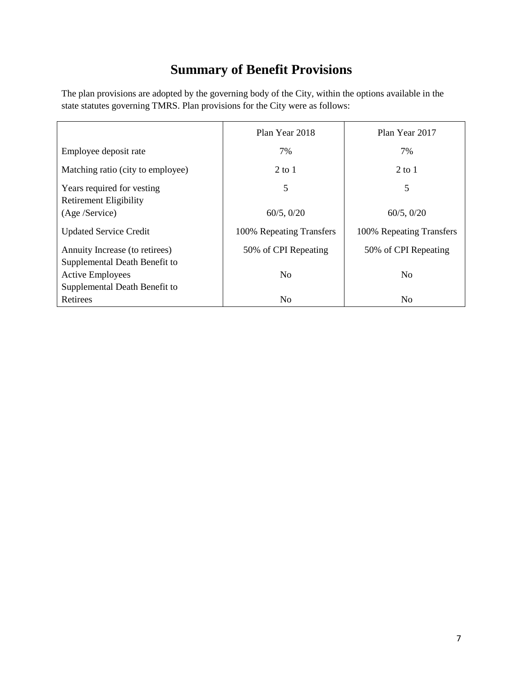## **Summary of Benefit Provisions**

The plan provisions are adopted by the governing body of the City, within the options available in the state statutes governing TMRS. Plan provisions for the City were as follows:

|                                                                 | Plan Year 2018           | Plan Year 2017           |
|-----------------------------------------------------------------|--------------------------|--------------------------|
| Employee deposit rate                                           | 7%                       | 7%                       |
| Matching ratio (city to employee)                               | $2$ to 1                 | $2$ to 1                 |
| Years required for vesting<br><b>Retirement Eligibility</b>     | 5                        | 5                        |
| (Age /Service)                                                  | 60/5, 0/20               | 60/5, 0/20               |
| <b>Updated Service Credit</b>                                   | 100% Repeating Transfers | 100% Repeating Transfers |
| Annuity Increase (to retirees)<br>Supplemental Death Benefit to | 50% of CPI Repeating     | 50% of CPI Repeating     |
| <b>Active Employees</b>                                         | N <sub>o</sub>           | N <sub>0</sub>           |
| Supplemental Death Benefit to                                   |                          |                          |
| Retirees                                                        | N <sub>0</sub>           | N <sub>0</sub>           |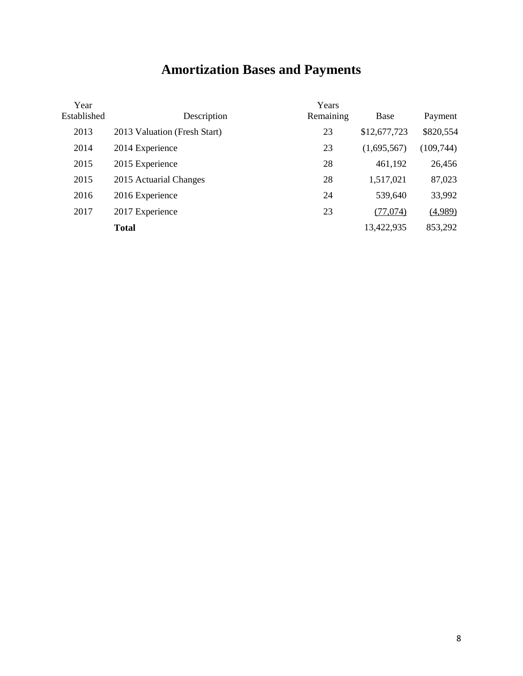# **Amortization Bases and Payments**

| Year<br>Established | Description                  | Years<br>Remaining | Base         | Payment    |
|---------------------|------------------------------|--------------------|--------------|------------|
| 2013                | 2013 Valuation (Fresh Start) | 23                 | \$12,677,723 | \$820,554  |
| 2014                | 2014 Experience              | 23                 | (1,695,567)  | (109, 744) |
| 2015                | 2015 Experience              | 28                 | 461,192      | 26,456     |
| 2015                | 2015 Actuarial Changes       | 28                 | 1,517,021    | 87,023     |
| 2016                | 2016 Experience              | 24                 | 539,640      | 33,992     |
| 2017                | 2017 Experience              | 23                 | (77,074)     | (4,989)    |
|                     | <b>Total</b>                 |                    | 13,422,935   | 853,292    |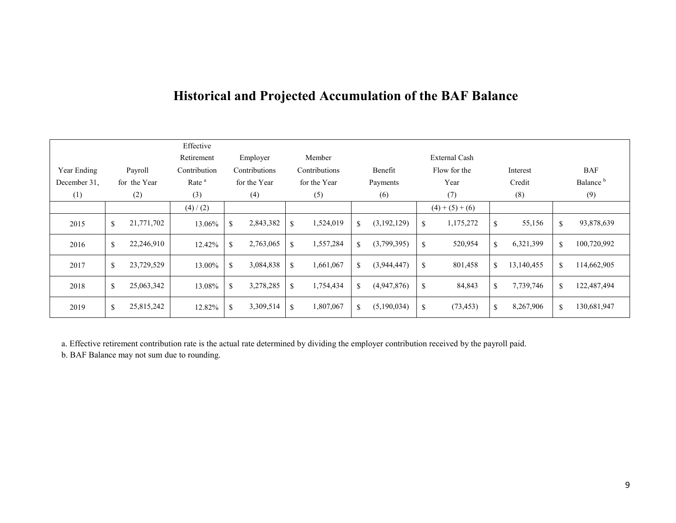### **Historical and Projected Accumulation of the BAF Balance**

|              |               |              | Effective         |               |               |               |               |             |             |              |               |             |            |             |                      |
|--------------|---------------|--------------|-------------------|---------------|---------------|---------------|---------------|-------------|-------------|--------------|---------------|-------------|------------|-------------|----------------------|
|              |               |              | Retirement        |               | Employer      |               | Member        |             |             |              | External Cash |             |            |             |                      |
| Year Ending  |               | Payroll      | Contribution      |               | Contributions |               | Contributions |             | Benefit     |              | Flow for the  |             | Interest   |             | <b>BAF</b>           |
| December 31. |               | for the Year | Rate <sup>a</sup> |               | for the Year  |               | for the Year  |             | Payments    |              | Year          |             | Credit     |             | Balance <sup>b</sup> |
| (1)          |               | (2)          | (3)               |               | (4)           |               | (5)           |             | (6)         |              | (7)           |             | (8)        |             | (9)                  |
|              |               |              | (4) / (2)         |               |               |               |               |             |             |              | $(4)+(5)+(6)$ |             |            |             |                      |
| 2015         | $\mathcal{S}$ | 21,771,702   | 13.06%            | <sup>\$</sup> | 2,843,382     | <sup>\$</sup> | 1,524,019     | \$          | (3,192,129) | \$           | 1,175,272     | \$          | 55,156     | \$          | 93,878,639           |
| 2016         | \$            | 22,246,910   | 12.42%            | \$            | 2,763,065     | \$            | 1,557,284     | $\mathbf S$ | (3,799,395) | $\mathbb{S}$ | 520,954       | \$          | 6,321,399  | \$          | 100,720,992          |
| 2017         | <sup>\$</sup> | 23,729,529   | 13.00%            | \$            | 3,084,838     | \$            | 1,661,067     | $\mathbf S$ | (3,944,447) | \$           | 801,458       | $\mathbf S$ | 13,140,455 | $\mathbf S$ | 114,662,905          |
| 2018         | $\mathcal{S}$ | 25,063,342   | 13.08%            | <sup>\$</sup> | 3,278,285     | <sup>\$</sup> | 1,754,434     | $\mathbf S$ | (4,947,876) | \$           | 84,843        | \$          | 7,739,746  | $\mathbf S$ | 122,487,494          |
| 2019         | \$            | 25,815,242   | 12.82%            | $\mathbb{S}$  | 3,309,514     | \$            | 1,807,067     | S.          | (5,190,034) | \$           | (73, 453)     | \$          | 8,267,906  | $\mathbf S$ | 130,681,947          |

a. Effective retirement contribution rate is the actual rate determined by dividing the employer contribution received by the payroll paid.

b. BAF Balance may not sum due to rounding.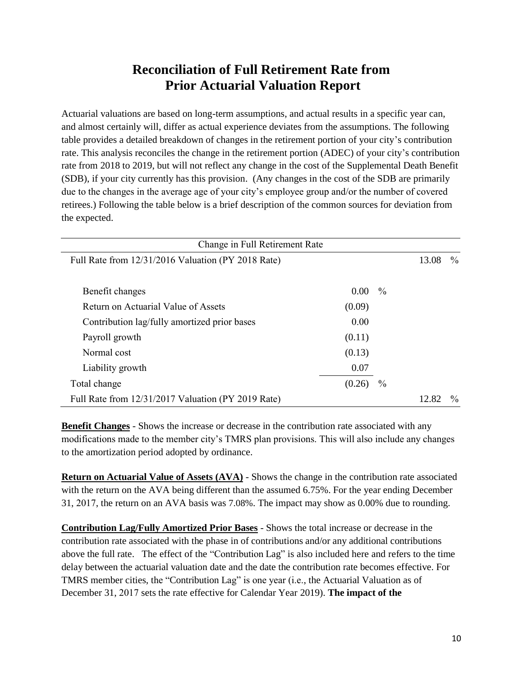### **Reconciliation of Full Retirement Rate from Prior Actuarial Valuation Report**

Actuarial valuations are based on long-term assumptions, and actual results in a specific year can, and almost certainly will, differ as actual experience deviates from the assumptions. The following table provides a detailed breakdown of changes in the retirement portion of your city's contribution rate. This analysis reconciles the change in the retirement portion (ADEC) of your city's contribution rate from 2018 to 2019, but will not reflect any change in the cost of the Supplemental Death Benefit (SDB), if your city currently has this provision. (Any changes in the cost of the SDB are primarily due to the changes in the average age of your city's employee group and/or the number of covered retirees.) Following the table below is a brief description of the common sources for deviation from the expected.

| Change in Full Retirement Rate                     |                   |               |       |               |
|----------------------------------------------------|-------------------|---------------|-------|---------------|
| Full Rate from 12/31/2016 Valuation (PY 2018 Rate) | 13.08             | $\frac{0}{0}$ |       |               |
|                                                    |                   |               |       |               |
| Benefit changes                                    | 0.00 <sub>1</sub> | $\frac{0}{0}$ |       |               |
| Return on Actuarial Value of Assets                | (0.09)            |               |       |               |
| Contribution lag/fully amortized prior bases       | 0.00              |               |       |               |
| Payroll growth                                     | (0.11)            |               |       |               |
| Normal cost                                        | (0.13)            |               |       |               |
| Liability growth                                   | 0.07              |               |       |               |
| Total change                                       | (0.26)            | $\frac{0}{0}$ |       |               |
| Full Rate from 12/31/2017 Valuation (PY 2019 Rate) |                   |               | 12.82 | $\frac{0}{0}$ |

**Benefit Changes** - Shows the increase or decrease in the contribution rate associated with any modifications made to the member city's TMRS plan provisions. This will also include any changes to the amortization period adopted by ordinance.

**Return on Actuarial Value of Assets (AVA)** - Shows the change in the contribution rate associated with the return on the AVA being different than the assumed 6.75%. For the year ending December 31, 2017, the return on an AVA basis was 7.08%. The impact may show as 0.00% due to rounding.

**Contribution Lag/Fully Amortized Prior Bases** - Shows the total increase or decrease in the contribution rate associated with the phase in of contributions and/or any additional contributions above the full rate. The effect of the "Contribution Lag" is also included here and refers to the time delay between the actuarial valuation date and the date the contribution rate becomes effective. For TMRS member cities, the "Contribution Lag" is one year (i.e., the Actuarial Valuation as of December 31, 2017 sets the rate effective for Calendar Year 2019). **The impact of the**